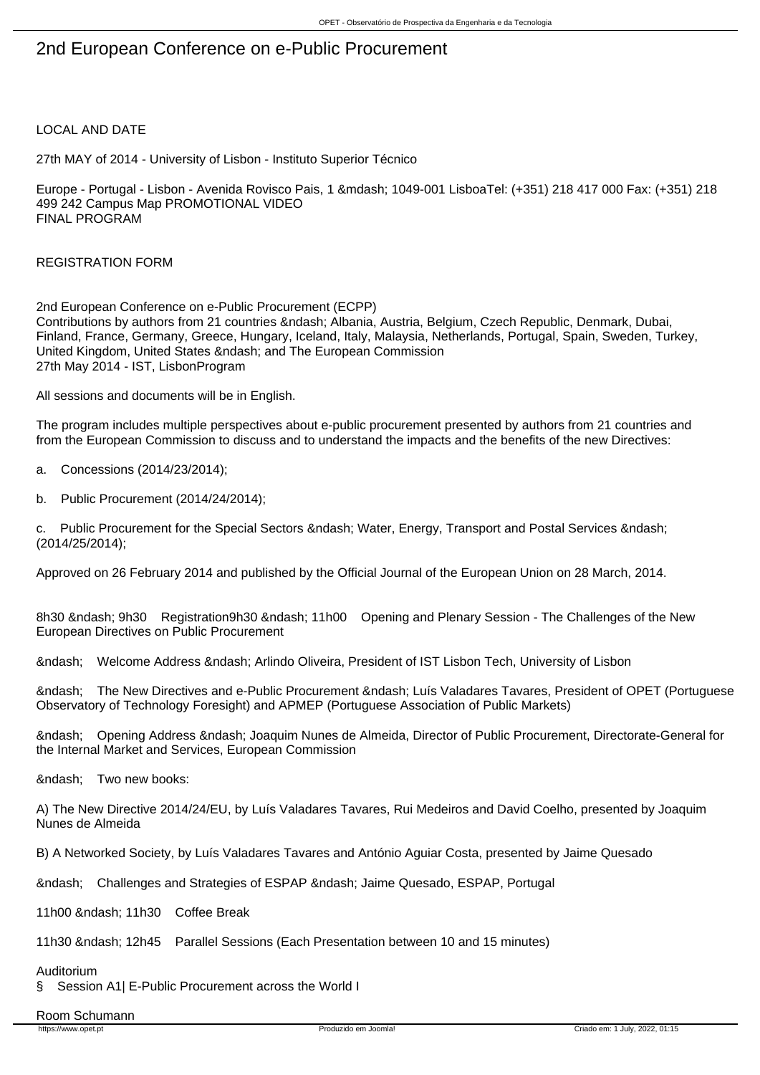# 2nd European Conference on e-Public Procurement

# LOCAL AND DATE

27th MAY of 2014 - University of Lisbon - Instituto Superior Técnico

Europe - Portugal - Lisbon - Avenida Rovisco Pais, 1 & mdash; 1049-001 LisboaTel: (+351) 218 417 000 Fax: (+351) 218 499 242 Campus Map PROMOTIONAL VIDEO FINAL PROGRAM

REGISTRATION FORM

2nd European Conference on e-Public Procurement (ECPP) Contributions by authors from 21 countries – Albania, Austria, Belgium, Czech Republic, Denmark, Dubai, Finland, France, Germany, Greece, Hungary, Iceland, Italy, Malaysia, Netherlands, Portugal, Spain, Sweden, Turkey, United Kingdom, United States & ndash; and The European Commission 27th May 2014 - IST, LisbonProgram

All sessions and documents will be in English.

The program includes multiple perspectives about e-public procurement presented by authors from 21 countries and from the European Commission to discuss and to understand the impacts and the benefits of the new Directives:

- a. Concessions (2014/23/2014);
- b. Public Procurement (2014/24/2014);

c. Public Procurement for the Special Sectors & ndash: Water, Energy, Transport and Postal Services & ndash: (2014/25/2014);

Approved on 26 February 2014 and published by the Official Journal of the European Union on 28 March, 2014.

8h30 &ndash: 9h30 Registration9h30 &ndash: 11h00 Opening and Plenary Session - The Challenges of the New European Directives on Public Procurement

– Welcome Address – Arlindo Oliveira, President of IST Lisbon Tech, University of Lisbon

– The New Directives and e-Public Procurement – Luís Valadares Tavares, President of OPET (Portuguese Observatory of Technology Foresight) and APMEP (Portuguese Association of Public Markets)

– Opening Address – Joaquim Nunes de Almeida, Director of Public Procurement, Directorate-General for the Internal Market and Services, European Commission

&ndash: Two new books:

A) The New Directive 2014/24/EU, by Luís Valadares Tavares, Rui Medeiros and David Coelho, presented by Joaquim Nunes de Almeida

B) A Networked Society, by Luís Valadares Tavares and António Aguiar Costa, presented by Jaime Quesado

– Challenges and Strategies of ESPAP – Jaime Quesado, ESPAP, Portugal

11h00 – 11h30 Coffee Break

11h30 – 12h45 Parallel Sessions (Each Presentation between 10 and 15 minutes)

#### Auditorium

§ Session A1| E-Public Procurement across the World I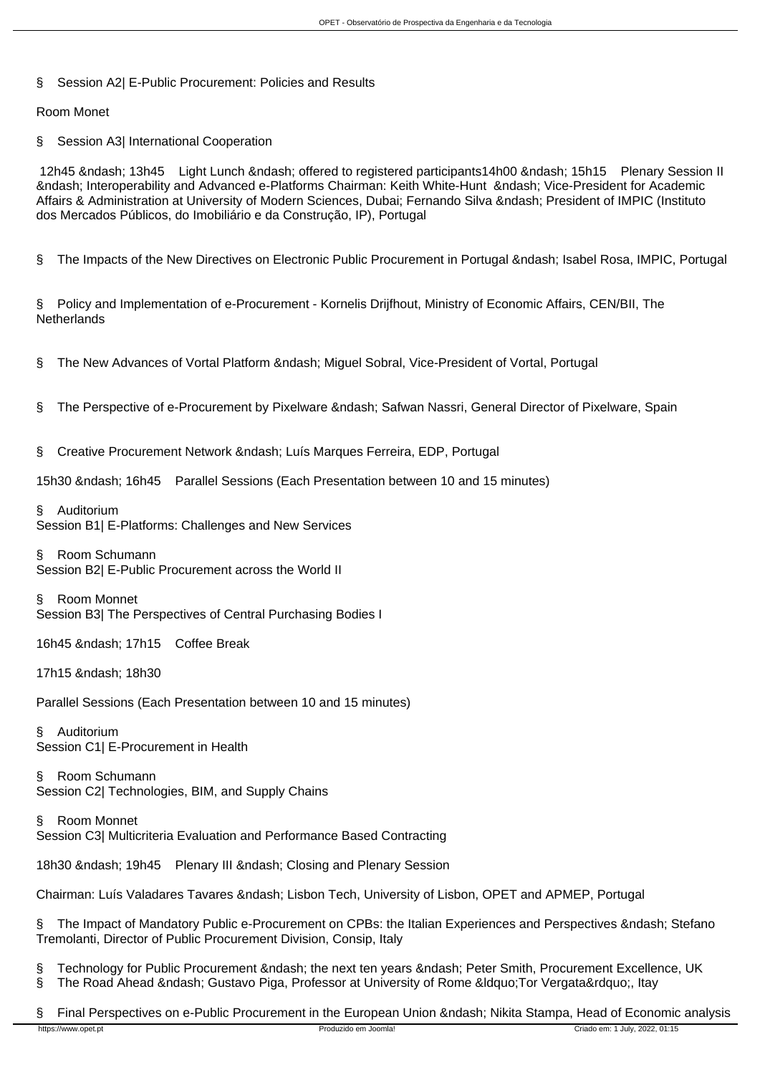§ Session A2| E-Public Procurement: Policies and Results

Room Monet

§ Session A3| International Cooperation

12h45 – 13h45 Light Lunch – offered to registered participants14h00 – 15h15 Plenary Session II – Interoperability and Advanced e-Platforms Chairman: Keith White-Hunt – Vice-President for Academic Affairs & Administration at University of Modern Sciences, Dubai; Fernando Silva – President of IMPIC (Instituto dos Mercados Públicos, do Imobiliário e da Construção, IP), Portugal

§ The Impacts of the New Directives on Electronic Public Procurement in Portugal – Isabel Rosa, IMPIC, Portugal

§ Policy and Implementation of e-Procurement - Kornelis Drijfhout, Ministry of Economic Affairs, CEN/BII, The **Netherlands** 

§ The New Advances of Vortal Platform – Miguel Sobral, Vice-President of Vortal, Portugal

- § The Perspective of e-Procurement by Pixelware Safwan Nassri, General Director of Pixelware, Spain
- § Creative Procurement Network Luís Marques Ferreira, EDP, Portugal

15h30 – 16h45 Parallel Sessions (Each Presentation between 10 and 15 minutes)

§ Auditorium Session B1| E-Platforms: Challenges and New Services

§ Room Schumann Session B2| E-Public Procurement across the World II

§ Room Monnet Session B3| The Perspectives of Central Purchasing Bodies I

16h45 – 17h15 Coffee Break

17h15 – 18h30

Parallel Sessions (Each Presentation between 10 and 15 minutes)

§ Auditorium Session C1| E-Procurement in Health

§ Room Schumann Session C2| Technologies, BIM, and Supply Chains

§ Room Monnet Session C3| Multicriteria Evaluation and Performance Based Contracting

18h30 – 19h45 Plenary III – Closing and Plenary Session

Chairman: Luís Valadares Tavares – Lisbon Tech, University of Lisbon, OPET and APMEP, Portugal

The Impact of Mandatory Public e-Procurement on CPBs: the Italian Experiences and Perspectives & ndash; Stefano Tremolanti, Director of Public Procurement Division, Consip, Italy

§ Technology for Public Procurement & ndash; the next ten years & ndash; Peter Smith, Procurement Excellence, UK § The Road Ahead – Gustavo Piga, Professor at University of Rome " Tor Vergata", Itay

§ Final Perspectives on e-Public Procurement in the European Union – Nikita Stampa, Head of Economic analysis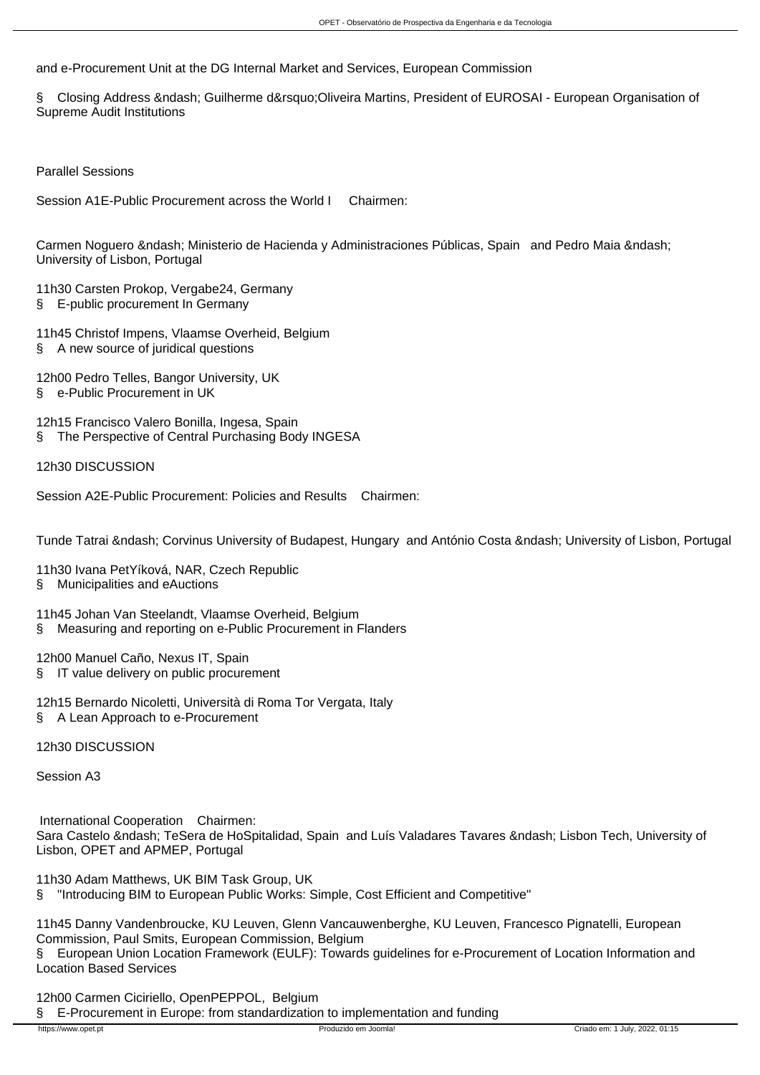and e-Procurement Unit at the DG Internal Market and Services, European Commission

§ Closing Address &ndash: Guilherme d&rsquo:Oliveira Martins, President of EUROSAI - European Organisation of Supreme Audit Institutions

Parallel Sessions

Session A1E-Public Procurement across the World I Chairmen:

Carmen Noguero – Ministerio de Hacienda y Administraciones Públicas, Spain and Pedro Maia – University of Lisbon, Portugal

- 11h30 Carsten Prokop, Vergabe24, Germany
- § E-public procurement In Germany
- 11h45 Christof Impens, Vlaamse Overheid, Belgium
- § A new source of juridical questions

12h00 Pedro Telles, Bangor University, UK § e-Public Procurement in UK

12h15 Francisco Valero Bonilla, Ingesa, Spain § The Perspective of Central Purchasing Body INGESA

12h30 DISCUSSION

Session A2E-Public Procurement: Policies and Results Chairmen:

Tunde Tatrai – Corvinus University of Budapest, Hungary and António Costa – University of Lisbon, Portugal

11h30 Ivana PetYíková, NAR, Czech Republic

§ Municipalities and eAuctions

- 11h45 Johan Van Steelandt, Vlaamse Overheid, Belgium
- § Measuring and reporting on e-Public Procurement in Flanders

12h00 Manuel Caño, Nexus IT, Spain § IT value delivery on public procurement

12h15 Bernardo Nicoletti, Università di Roma Tor Vergata, Italy § A Lean Approach to e-Procurement

12h30 DISCUSSION

Session A3

 International Cooperation Chairmen: Sara Castelo &ndash: TeSera de HoSpitalidad, Spain and Luís Valadares Tavares &ndash: Lisbon Tech, University of Lisbon, OPET and APMEP, Portugal

11h30 Adam Matthews, UK BIM Task Group, UK § "Introducing BIM to European Public Works: Simple, Cost Efficient and Competitive"

11h45 Danny Vandenbroucke, KU Leuven, Glenn Vancauwenberghe, KU Leuven, Francesco Pignatelli, European Commission, Paul Smits, European Commission, Belgium

§ European Union Location Framework (EULF): Towards guidelines for e-Procurement of Location Information and Location Based Services

12h00 Carmen Ciciriello, OpenPEPPOL, Belgium

§ E-Procurement in Europe: from standardization to implementation and funding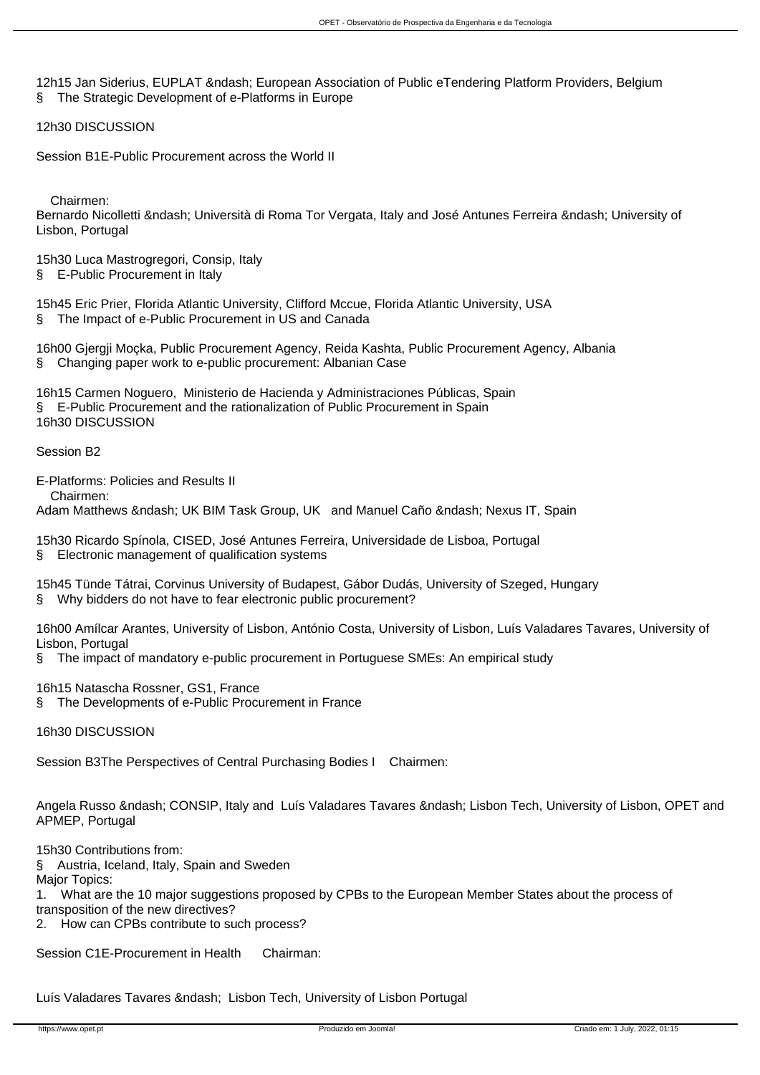12h15 Jan Siderius, EUPLAT – European Association of Public eTendering Platform Providers, Belgium § The Strategic Development of e-Platforms in Europe

12h30 DISCUSSION

Session B1E-Public Procurement across the World II

Chairmen:

Bernardo Nicolletti – Università di Roma Tor Vergata, Italy and José Antunes Ferreira – University of Lisbon, Portugal

15h30 Luca Mastrogregori, Consip, Italy § E-Public Procurement in Italy

15h45 Eric Prier, Florida Atlantic University, Clifford Mccue, Florida Atlantic University, USA § The Impact of e-Public Procurement in US and Canada

16h00 Gjergji Moçka, Public Procurement Agency, Reida Kashta, Public Procurement Agency, Albania § Changing paper work to e-public procurement: Albanian Case

16h15 Carmen Noguero, Ministerio de Hacienda y Administraciones Públicas, Spain § E-Public Procurement and the rationalization of Public Procurement in Spain 16h30 DISCUSSION

Session B2

E-Platforms: Policies and Results II

Chairmen:

Adam Matthews – UK BIM Task Group, UK and Manuel Caño – Nexus IT, Spain

15h30 Ricardo Spínola, CISED, José Antunes Ferreira, Universidade de Lisboa, Portugal § Electronic management of qualification systems

15h45 Tünde Tátrai, Corvinus University of Budapest, Gábor Dudás, University of Szeged, Hungary § Why bidders do not have to fear electronic public procurement?

16h00 Amílcar Arantes, University of Lisbon, António Costa, University of Lisbon, Luís Valadares Tavares, University of Lisbon, Portugal

§ The impact of mandatory e-public procurement in Portuguese SMEs: An empirical study

16h15 Natascha Rossner, GS1, France

§ The Developments of e-Public Procurement in France

16h30 DISCUSSION

Session B3The Perspectives of Central Purchasing Bodies I Chairmen:

Angela Russo – CONSIP, Italy and Luís Valadares Tavares – Lisbon Tech, University of Lisbon, OPET and APMEP, Portugal

15h30 Contributions from:

§ Austria, Iceland, Italy, Spain and Sweden

Major Topics:

1. What are the 10 major suggestions proposed by CPBs to the European Member States about the process of

transposition of the new directives?

2. How can CPBs contribute to such process?

Session C1E-Procurement in Health Chairman:

Luís Valadares Tavares – Lisbon Tech, University of Lisbon Portugal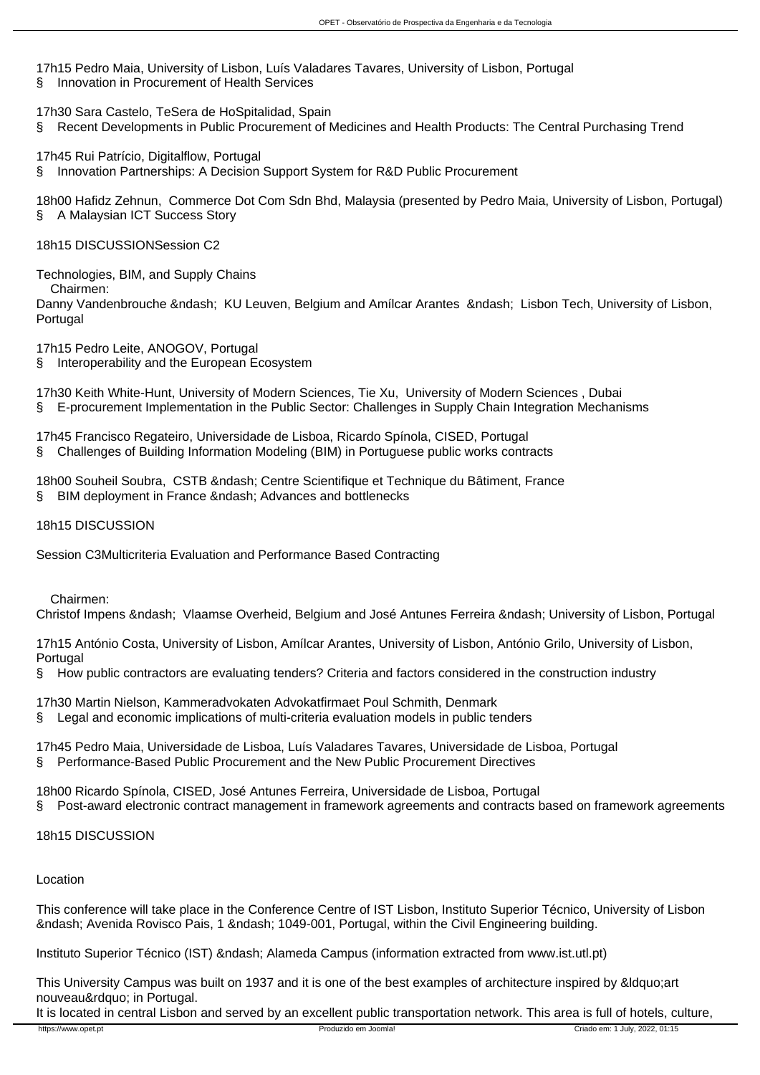17h15 Pedro Maia, University of Lisbon, Luís Valadares Tavares, University of Lisbon, Portugal § Innovation in Procurement of Health Services

17h30 Sara Castelo, TeSera de HoSpitalidad, Spain § Recent Developments in Public Procurement of Medicines and Health Products: The Central Purchasing Trend

17h45 Rui Patrício, Digitalflow, Portugal § Innovation Partnerships: A Decision Support System for R&D Public Procurement

18h00 Hafidz Zehnun, Commerce Dot Com Sdn Bhd, Malaysia (presented by Pedro Maia, University of Lisbon, Portugal) § A Malaysian ICT Success Story

18h15 DISCUSSIONSession C2

Technologies, BIM, and Supply Chains

Chairmen:

Danny Vandenbrouche &ndash: KU Leuven, Belgium and Amílcar Arantes &ndash: Lisbon Tech, University of Lisbon, Portugal

17h15 Pedro Leite, ANOGOV, Portugal

§ Interoperability and the European Ecosystem

17h30 Keith White-Hunt, University of Modern Sciences, Tie Xu, University of Modern Sciences , Dubai § E-procurement Implementation in the Public Sector: Challenges in Supply Chain Integration Mechanisms

17h45 Francisco Regateiro, Universidade de Lisboa, Ricardo Spínola, CISED, Portugal

§ Challenges of Building Information Modeling (BIM) in Portuguese public works contracts

18h00 Souheil Soubra, CSTB & ndash; Centre Scientifique et Technique du Bâtiment, France § BIM deployment in France – Advances and bottlenecks

18h15 DISCUSSION

Session C3Multicriteria Evaluation and Performance Based Contracting

Chairmen:

Christof Impens – Vlaamse Overheid, Belgium and José Antunes Ferreira – University of Lisbon, Portugal

17h15 António Costa, University of Lisbon, Amílcar Arantes, University of Lisbon, António Grilo, University of Lisbon, **Portugal** 

§ How public contractors are evaluating tenders? Criteria and factors considered in the construction industry

17h30 Martin Nielson, Kammeradvokaten Advokatfirmaet Poul Schmith, Denmark

§ Legal and economic implications of multi-criteria evaluation models in public tenders

17h45 Pedro Maia, Universidade de Lisboa, Luís Valadares Tavares, Universidade de Lisboa, Portugal § Performance-Based Public Procurement and the New Public Procurement Directives

18h00 Ricardo Spínola, CISED, José Antunes Ferreira, Universidade de Lisboa, Portugal § Post-award electronic contract management in framework agreements and contracts based on framework agreements

18h15 DISCUSSION

# Location

This conference will take place in the Conference Centre of IST Lisbon, Instituto Superior Técnico, University of Lisbon – Avenida Rovisco Pais, 1 – 1049-001, Portugal, within the Civil Engineering building.

Instituto Superior Técnico (IST) – Alameda Campus (information extracted from www.ist.utl.pt)

This University Campus was built on 1937 and it is one of the best examples of architecture inspired by &Idquo;art nouveau" in Portugal.

It is located in central Lisbon and served by an excellent public transportation network. This area is full of hotels, culture,